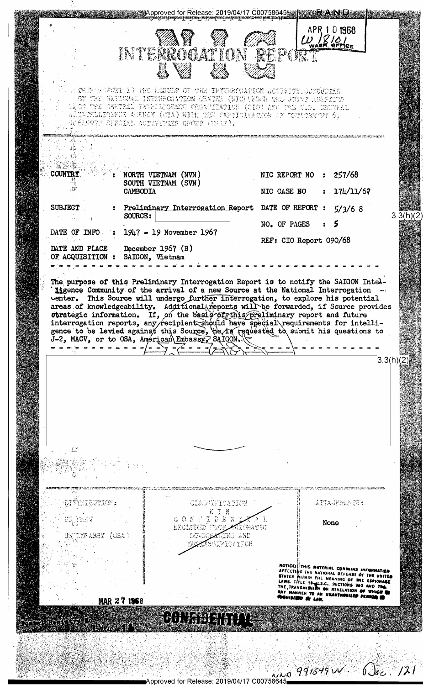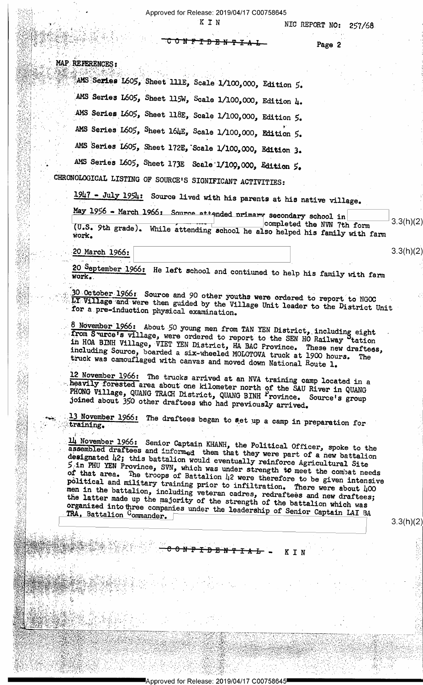<del>፤ታዝም፣</del>

 $K I N$ 

NIC REPORT NO: 257/68

Page 2

MAP REFERENCES:

AMS Series L605, Sheet IIIE, Scale 1/100,000, Edition 5. AMS Series L605, Sheet 115W, Scale 1/100,000, Edition 4. AMS Series L605, Sheet 118E, Scale 1/100,000, Edition 5. AMS Series L605, Sheet 164E, Scale 1/100,000, Edition 5. AMS Series L605, Sheet 172E, Scale 1/100,000, Edition 3. AMS Series L605, Sheet 173E Scale 1/109,000, Edition 5.

Ŧ

CHRONOLOGICAL LISTING OF SOURCE'S SIGNIFICANT ACTIVITIES:

1947 - July 1954: Source lived with his parents at his native village.

May 1956 - March 1966: Source attended primary secondary school in  $3.3(h)(2)$ completed the NVN 7th form (U.S. 9th grade). While attending school he also helped his family with farm work.

20 March 1966:

20 September 1966: He left school and contiuned to help his family with farm

30 October 1966: Source and 90 other youths were ordered to report to NGOC LY Village and were then guided by the Village Unit leader to the District Unit for a pre-induction physical examination.

8 November 1966: About 50 young men from TAN YEN District, including eight<br>from Surce's village, were ordered to report to the SEN HO Railway tation in HOA BINH Village, VIET YEN District, HA BAC Province. These new draftees, including Source, boarded a six-wheeled MOLOTOVA truck at 1900 hours. The truck was camouflaged with canvas and moved down National Route 1.

12 November 1966: The trucks arrived at an NVA training camp located in a heavily forested area about one kilometer north of the SAU River in QUANG<br>PHONG Village, QUANG TRACH District, QUANG BINH Province. Source's group<br>joined about 350 other draftees who had previously arrived.

13 November 1966: The draftees began to set up a camp in preparation for

 $\frac{11}{4}$  November 1966: Senior Captain KHANH, the Political Officer, spoke to the assembled draftees and informed them that they were part of a new battalion designated 42; this battalion would eventually reinforce Agricultural Site 5 in PHU YEN Province, SVN, which was under strength to meet the combat needs<br>of that area. The troops of Battalion 42 were therefore to be given intensive political and military training prior to infiltration. There were about 400 men in the battalion, including veteran cadres, redraftees and new draftees; the latter made up the majority of the strength of the battalion which was organized into three companies under the leadership of Senior Captain LAI BA TRA, Battalion Commander.

<del>0 N P I D B N T I A</del>

<u>—آ</u>

KIN

 $3.3(h)(2)$ 

 $3.3(h)(2)$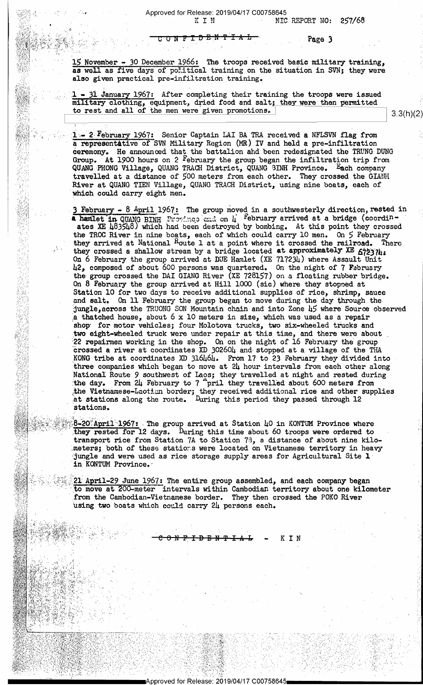ONFTDENTIAL

Page 3

15 November - 30 December 1966: The troops received basic military training, as well as five days of political training on the situation in SVN; they were also given practical pre-infiltration training.

- 31 January 1967: After completing their training the troops were issued military clothing, equipment, dried food and salt; they were then permitted to rest and all of the men were given promotions.

1 - 2 February 1967: Senior Captain LAI BA TRA received a NFLSVN flag from a representative of SVN Military Region (MR) IV and held a pre-infiltration determony. He announced that the battalion and been redesignated the TRUNG DUNG<br>Group. At 1900 hours on 2 February the group began the infiltration trip from<br>QUANG PHONG Village, QUANG TRACH District, QUANG BINH Province. travelled at a distance of 500 meters from each other. They crossed the GIANH River at QUANG TIEN Village, QUANG TRACH District, using nine boats, each of which could carry eight men.

3 February - 8 April 1967: The group moved in a southwesterly direction, rested in a hamlet in QUANG BINH Province and on  $\mu$  february arrived at a bridge (coordin-<br>ates XE 483548) which had been destroyed by bombing. At this point they crossed the TROC River in nine boats, each of which could carry 10 men. On 5 February they arrived at National Route 1 at a point where it crossed the railroad. There<br>they crossed a shallow stream by a bridge located at approximately XE 672374:<br>On 6 February the group arrived at DUE Hamlet (XE 717234) where 42, composed of about 600 persons was quartered. On the night of 7 February the group crossed the DAI GIANG River (XE 728157) on a floating rubber bridge. On 8 February the group arrived at Hill 1000 (sic) where they stopped at Station 10 for two days to receive additional supplies of rice, shrimp, sauce and salt. On 11 February the group began to move during the day through the jungle, across the TRUONG SON Mountain chain and into Zone 45 where Source observed a thatched house, about  $6 \times 10$  meters in size, which was used as a repair shop for motor vehicles; four Molotova trucks, two six-wheeled trucks and two eight-wheeled truck were under repair at this time, and there were about<br>22 repairmen working in the shop. On on the night of 16 February the group<br>crossed a river at coordinates XD 302604 and stopped at a village of t KONG tribe at coordinates XD 316464. From 17 to 23 February they divided into three companies which began to move at 24 hour intervals from each other along National Route 9 southwest of Laos; they travelled at night and rested during the day. From 24 February to 7 pril they travelled about 600 meters from<br>the Vietnamese-Laotian border; they received additional rice and other supplies<br>at stations along the route. During this period they passed through 1 stations.

8-20 April 1967: The group arrived at Station 40 in KONTUM Province where they rested for 12 days. During this time about 60 troops were ordered to transport rice from Station 7A to Station 73, a distance of about nine kilometers; both of these stations were located on Vietnamese territory in heavy jungle and were used as rice storage supply areas for Agricultural Site  $\bm{1}$ in KONTUM Province.

21 April-29 June 1967: The entire group assembled, and each company began to move at 200-meter intervals within Cambodian territory about one kilometer from the Cambodian-Vietnamese border. They then crossed the POKO River using two boats which could carry 24 persons each.

 $3.3(h)(2)$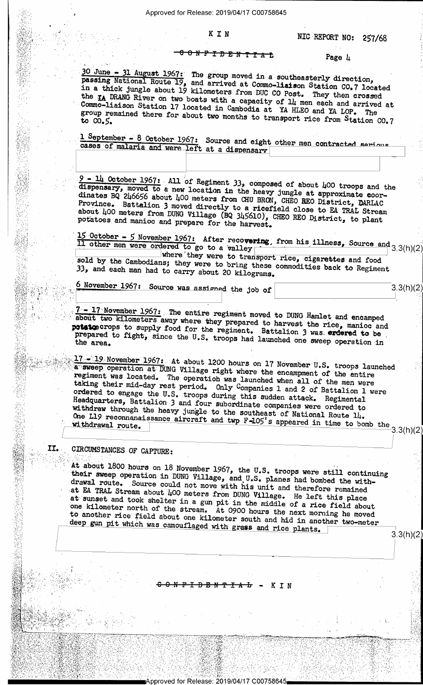## NFIDENTIAL Page 4

<del>o / 2000 - 2000 - 2000 - 2000 - 2000 - 2000 - 2000 - 2000 - 2000 - 2000 - 2000 - 2000 - 2000 - 2000 - 2000 - 20</del>

. »-

- ~ \_ .. \_\_ \_ \_ \_ \_\_ \_\_. ; .\_\_\_\_\_a,.\_<—.-'i"'\*\_,,'- 1- .-;\*"'P'v.,'v\_..\_.,, ,: ),:\_ \_\_\_\_\_\_\_\_\_,

. . . .

- ;\_- <sup>I</sup>'

 $\mathcal{I}=\mathcal{I}\cup\mathcal{I}\cup\mathcal{I}\cup\mathcal{I}\cup\mathcal{I}$  . For all  $\mathcal{I}\cup\mathcal{I}\cup\mathcal{I}\cup\mathcal{I}$ 

 $\cdot$  . In the set of the set of the set of  $\cdot$  . It is the set of the set of the set of the set of the set of

, - x. <sup>~</sup>

\ .\_

- -

<V";~I-'\_'.-E;-,=l';V'. .-' <sup>~</sup>

 $\sim$  are all  $\sim$  and  $\sim$  and  $\sim$ 

<sup>~</sup>~—-~~ -

. <sup>V</sup>-'-'1. '; . " J 1' '1 "f"-\_ "-."'.'-"-""9.--',' \*5,' :' '2 '13 ' .'

i

30 June - 31 August 1967: The group moved in a southeasterly direction, passing National Route 19, and arrived at Commonlision Statistics 2016. in a thick National lonal Route 19, and arrived at Commo-liaison Station CO.7 located<br>jungle about 19 kilometers from DHC CO Post There they are In a direct jungle about 19 kilometers from DUC CO Post. They then crossed<br>the IA DRANG River on two boats with a cappelium of 11 more then crossed the IA DRANG River on two boats with a capacity of 14 men each and arrived at Commo-liaison Station 17 located in Cambodia at YA HUEO and YA LOB TO Sommo-Ilaison Station 17 located in Cambodia at YA HLEO and YA LOP. The group remained there for about two months to transment with UP. The to C0. éemained emained there for about two months to transport rice from Station CO.7

1 September - 8 cases of malaria and were left at a dispensary

 $\frac{9 - 11}{9}$  October 1967: All of Regiment 33, composed of about 100 troops and the dispensary, moved to a new location in the heart innals at a set of the set of the set of the set of the set of the set of the set of th dispensary, moved to a new location in the heavy jungle at approximate coor-<br>dinates BQ 246656 about 400 meters from CHU BRON. CHEO BEO District PURLIC dinates be 200050 about 400 meters from CHU BRON, CHEO REO District, DARLAC<br>Province. Battalion 3 moved directly to a ricefield class to District, DARLAC about 400 meters from DUNG Village (BQ 345610), CHEO REO District, to plant potatoes and manioc and prepare for the harvest. Battalion 3 moved directly to a ricefield close to EA TRAL Stream<br>eters from DUNG Village (BQ 345610), CHEO BEO Bistrict, to plat potatoes and manioc and prepare for the harvest.

 $\frac{15 \text{ October } - 5 \text{ November } 1967: }{11 \text{ other men were ordered to go to a valley } |$  from his illness, Source and 3.3(h)(2)

 $\blacksquare$  where'they were to transport rice, cigarettes and food sold by the Cambodians; they were to bring these comments is 33, man had and by each the Cambodians; they were to bring these commodities back to Regiment each man had to carry about 20 kilograms.

 $\frac{6 \text{ November 1967: Source was assigned the job of}}{3.3(h)(2)}$ 

about two kilometers away where they prepared to harvest the rice, manioc and 7 - 17 November 1967: The entire regiment moved to DUNG Hamlet and encamped 'prepared potence crops to supply food for the regiment. Battalion 3 was. ardered to be, prepared to fight, since the U.S. troops had launched one sweep operation in the area.

§©§§§§§<u>\$\$47 = 19</u> November 1967: At  $\frac{1}{2}$  a sweep operation at DUNG Village right where the encampment of the entire regiment was located. The operation was lownshed where  $\frac{1}{2}$ regiment taking their regiment was located. The operation was launched when all of the men were taking their mid-day rest period. Only Companies l and 2 of Battalion 1 were ordered to engage the U.S. troops during this guidements. neadquarters, Battalion 3 and four subordinate companies were ordered to withdraw through the heavy jungle to the southeast all Were ordered to ordered to engage the U.S. troops during this sudden attack. Regimental withdraw through the heavy jungle to the southeast of National Route 14. One L19 reconnanaissance the heavy jungle to the southeast of National Route 14.<br>One L19 reconnanaissance aircraft and twp  $F=105'$ s appeared in time to bomb the  $\frac{3.3(h)(2)}{2}$ 

gig ~1\_ 11.,' CIRCUMSTANCES or CAPTURE: - - <sup>B</sup>-.'.f'.:'-g -,,,- \_, »» .\_ -- : r <sup>V</sup>

3-; V; »

 $\sqcup$ 

' .;¢':¢,\_. 'V, 2». \_

if-§:-";;b":'~%'1Fi-1, .\*-~~.~'z»~=',.vr' ». w - <sup>V</sup>

-- 1990년 - 1990년 - 1991년 - 1991년 - 1991년 - 1991년 - 1991년 - 1991년 - 1991년 - 1991년 - 1991년

 $\mathbb{V}\times\mathbb{R}$  , then  $\mathbb{V}\times\mathbb{R}$  and  $\mathbb{V}\times\mathbb{R}$  ,  $\mathbb{V}\times\mathbb{R}$  ,  $\mathbb{V}\times\mathbb{R}$  ,  $\mathbb{V}\times\mathbb{R}$ 

 $\mathcal{L}$  is  $\mathcal{L}$  . The property dependent of the control of

, \_~-~.,4 1'-9 ~,;V-\_\.,,'\_!,.~.- ,2 -\'.=r\_|'.'V..\_<-. ~.!. .\_ \_. » -.

~'4'|;"'.:]"'|'\,,\'\',~ "V '-;'=: /-»-,',/.-»:-m->\_~2,- ,v <sup>&</sup>lt;. -- V" . ~\_ 4 V .- ~. :.- ~~

' -\ ' J -

 $-$ 

~\-~:'-f-- 1V'-\ \_V..- . -' :-.~.>-..\_=~.-. \_~-~.Vr 'J -v. .-. '- 1" 4' -.- " '

 $\cdots$ 

»~.~:'~;.;'»:-I. -\_--,;-.\_: ~.--\_ 1. 1 ;v. - -

; .

- - - -1

'=14 ~.--1:»;-\*3\_ '.'~.,~\_V.»1\_\_-\_1n-\_,-.;.\_';, -.:,V.=\_z,¢ V,--,.'V=',-..;-,¢ .- - ..- -' ~ -4 ~.';;;-\_1'.';~ ;.-?\_:,n,7-wt, -, ' - V '

. -'.-.~- .».<:-' 'JR;/A'\">. . <sup>V</sup>.\-: -. - V» 'V .v - - "- :7»-'.-,~='--.-== '- '

= -;=.»:'-, ~. 1- -

 $\mathcal{L} \subseteq \mathcal{L}$  , and the second contribution of  $\mathcal{L} \subseteq \mathcal{L}$  , and the second contribution of

., »

, \_ . \_

;¢ --;

';.-\_'-',~/nv--\_1'\_'-'\_\_. -,\*\_'.;~\.-.-\_.=-~>1;,=- .:- »\_'=\_- » -.\_ '§'x , ., \_- -~, .V»-V\_<-~,.~.. , ~ -- . - - '

<,-'K-'.»~..:' ='-'."-'-",~'w".-,--.-'- :.'=-.»"'<'r.'-.-;;'.:'.-W-.~\_..;: -,.'-\_\_-~- m ' u - :':- <sup>V</sup>~ --1 .' .--,»- V-.'~ ~;--,»'f'.;. V. q-1",\\,-»- n ~.> ',. '

 $\mathbb{R}$  $\mathbb{S}$ s $\mathbb{S}$ 

§§?§ iika .<br>Iiri

\_l . .\_.t

.';'-":11 Ii:-\_'.»T.l :,;-':5: - 3",}.-.\_!§: ' , v;."\_ .  $\omega$  ,  $\omega$  ,  $\omega$  ,  $\omega$ :r\:.--». >; <sup>V</sup>

 $J_{\rm X}$  ,  $J_{\rm X}$  ,  $J_{\rm Y}$ 1\_,i§r,l§Y \ : ,§;'3:=J.

1%?'-7% <sup>a</sup>V '

1.3;; \_-5-, 4;». -.<-

-1- \_'=:;' ,-~,-=='~-:-\_

j

 $\frac{1}{2}$ 

é <sup>V</sup> \_

-..' .-»..v . '-- .. ,1.'-~ . ;. ',

zv:5 and 3,3,000 and 3,300 and 3,300 and 3,300 and 3,300 and 3,300 and 3,300 and 3,300 and 3,300 and 3,300 and

" x <sup>a</sup>. . \'

'3§.';='~'-'<'V4» . - .. '¢\_ :.~- '1'T7V'»-7-:">FV'-'-'\*l'-"-"F\*fT.'T.'- 'i ~\_-»\*-<

1,-.'.=.'.>'-»1-E;--/-'":,:-I1.'-~I'VzY.'v"-'\_¢~;# .£~-1;!>4;-?'€:a>"-'-\*5'? '...\."-.-;

4.,-,-3 ,\-.;»,1,-V=-;'.~.-,.1.-\_\_-\_.,~=\_V\_~¢\_;'\_¢\{=;\_\_<~.3{~,,;~,=.;\_==\_ 4;,-\_. 4 \\_-»-

'.\_,V.,,\_4i\_.i\_\_,;,\_\_.\_.: Mr, , \:\_.,\_.;.p,\_=\_,\_:.v\_.\_.'"J5. ., , , .

 $\mathbb{R}$  ,  $\mathbb{R}$  is the set of  $\mathbb{R}$  ,  $\mathbb{R}$  if  $\mathbb{R}$  if  $\mathbb{R}$  if  $\mathbb{R}$  ,

-.,\_\..' ~:\_\ 31.1.3, 1;-.' 1.1 ta'-y-:.\_. 4 A .  $\alpha$  , where  $\alpha$  is a set of  $\alpha$ 

.'j,¢\'-'.:T:?€ \*.'\_~'-Vb' :~;,\*, ; J ; =, -

 $\mathcal{B}$ ,  $\mathcal{B}$  ,  $\mathcal{B}$  ,  $\mathcal{B}$  ,  $\mathcal{B}$  ,  $\mathcal{B}$  ,  $\mathcal{B}$  ,  $\mathcal{B}$  ,  $\mathcal{B}$  ,  $\mathcal{B}$  ,  $\mathcal{B}$ 

 $\mathcal{N}(\gamma_1,\gamma_2,\cdots,\gamma_{N-1},\gamma_{N-1},\cdots,\gamma_{N-1},\gamma_{N-1},\cdots,\gamma_{N-1},\cdots,\gamma_{N-1},\cdots,\gamma_{N-1},\cdots,\gamma_{N-1},\cdots,\gamma_{N-1},\cdots,\gamma_{N-1},\cdots,\gamma_{N-1},\cdots,\gamma_{N-1},\cdots,\gamma_{N-1},\cdots,\gamma_{N-1},\cdots,\gamma_{N-1},\cdots,\gamma_{N-1},\cdots,\gamma_{N-1},\cdots,\gamma_{N-1},\cdots,\gamma_{N-1},\cdots,\gamma_{N-1},\cdots,\gamma_{N-1},\cd$ 

 $-36.4.9.4\%$  ,  $-24.10\%$  ,  $+3.4\%$  ,  $-24.8\%$  ,  $+2.9\%$  ,  $+2.9\%$ 

-=;\¥I»~V.,1.'=f\_-"4;ji.'-sfv.iv; aw?!-\_= >r - .

 $\mathcal{N}(\mathcal{N}_{\mathcal{A}})$  , where  $\mathcal{N}_{\mathcal{A}}$  is the contribution of the contribution of the contribution of the contribution of the contribution of the contribution of the contribution of the contribution of the contribut

12 - 12 - 2014 - 2014 - 2014 - 2014 - 2014 - 2014 - 2014 - 2014 - 2014 - 2014 - 2014 - 2014 - 2014 - 2014 - 20<br>19 - 2015 - 2016 - 2017 - 2018 - 2019 - 2019 - 2019 - 2019 - 2014 - 2015 - 2016 - 2017 - 2018 - 2019 - 2019 -

At about 1800 hours on 18 November 1967, the U.S. troops were still continuing<br>their sweep operation in DUNG Village, and U.S. planes had bombed the with-<br>drawal route. Source could not move with his unit) their sweep operation in DUNG Village, and U.S. planes had bombed the with-<br>drawal route. Source could not move with his unit and therefore remained -at EA TRAL erawal route. Source could not move with his unit and therefore remained at EA TRAL Stream about 400 meters from DUNG Village. He left this place at sunset and took shelter in a sun pit in the middle one sunset and took shelter in a gun pit in the middle of a rice field about<br>kilometer north of the stream. At 0900 bound the gast kilometer north of the stream. At 0900 hours the next morning he moved<br>nother rice field about one kilometer south and his lext morning he moved to another rice field about one kilometer south and hid in another two-meter for another rice iteld about one kilometer south and hid in another two-meter deep gun pit which was camouflaged with grass and rice plants.

~%\*¢"w~, <sup>&</sup>gt;- <del>I D B N T I A L</del> - K I N

 $\frac{1}{2}$  . The strip of  $\frac{1}{2}$  is the strip of  $\frac{1}{2}$  and  $\frac{1}{2}$  and  $\frac{1}{2}$  if  $\frac{1}{2}$  is the  $\frac{1}{2}$   $\frac{1}{2}$  and  $\frac{1}{2}$  is the  $\frac{1}{2}$  if  $\frac{1}{2}$  is the  $\frac{1}{2}$ 

 $\mathbb{Z}$  ) of the state  $\mathbb{Z}$  ,  $\mathbb{Z}$  ,  $\mathbb{Z}$  ,  $\mathbb{Z}$  ,  $\mathbb{Z}$  ,  $\mathbb{Z}$  ,  $\mathbb{Z}$  ,  $\mathbb{Z}$  ,  $\mathbb{Z}$  ,  $\mathbb{Z}$  ,  $\mathbb{Z}$  ,  $\mathbb{Z}$  ,  $\mathbb{Z}$  ,  $\mathbb{Z}$  ,  $\mathbb{Z}$  ,  $\mathbb{Z}$  ,  $\mathbb{Z}$  ,  $\mathbb{Z}$  ,

';..-».< -. -.-, \_. . ,

 $\mathcal{F}(\mathcal{F}_1,\mathcal{F}_2) \subset \mathcal{F}(\mathcal{F}_1,\mathcal{F}_2)$ 

 $I\subset I\subset I$  .

H ....,4,..

. <sup>&</sup>lt;<sup>~</sup>

. \_,\_\_. -. . .. \_ .\_ \_ A. ..

-14'F;.-'V'-;' . =~ ~ :

"V:..'-1'-'1'V..,.' -.- ;'V '

,) 2012년, 1913년, 1913년, 1913년, 1913년, 1913년, 1913년, 1913년, 1913년, 1914년, 1914년, 1914년, 1914년, 1914년, 1914년, 19

\_-'.~;.\_j\_"\_»\_.,.-' -1:;-.-,=':-,'V\_1fiV\_:z\*=tP¥'- -; =\_;'=" r~ .1". .'

 $\mathcal{I}(\mathbf{y})$  ,  $\mathcal{I}(\mathbf{y})$  ,  $\mathcal{I}(\mathbf{y})$  ,  $\mathcal{I}(\mathbf{y})$  ,  $\mathcal{I}(\mathbf{y})$  ,  $\mathcal{I}(\mathbf{y})$  ,  $\mathcal{I}(\mathbf{y})$ 

-, - - >- '

.» .» <sup>V</sup> '

 $\cdots$